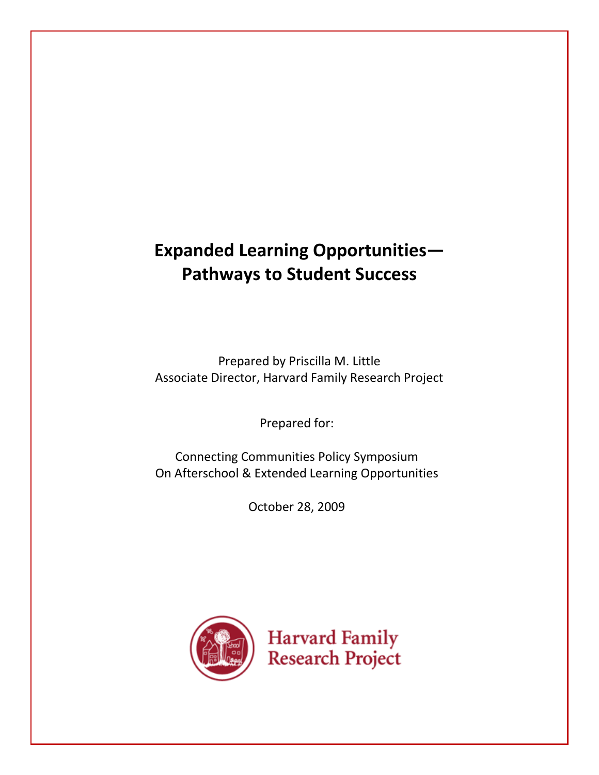# **Expanded Learning Opportunities— Pathways to Student Success**

Prepared by Priscilla M. Little Associate Director, Harvard Family Research Project

Prepared for:

Connecting Communities Policy Symposium On Afterschool & Extended Learning Opportunities

October 28, 2009

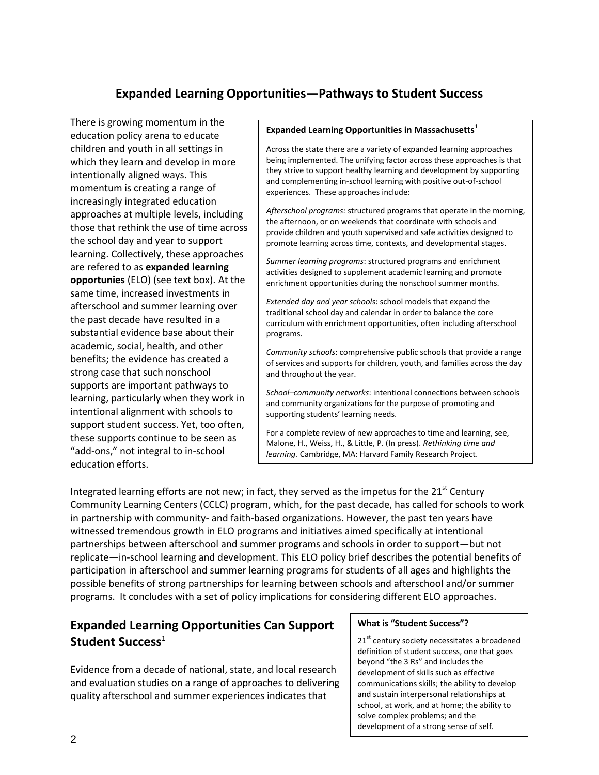# **Expanded Learning Opportunities—Pathways to Student Success**

There is growing momentum in the education policy arena to educate children and youth in all settings in which they learn and develop in more intentionally aligned ways. This momentum is creating a range of increasingly integrated education approaches at multiple levels, including those that rethink the use of time across the school day and year to support learning. Collectively, these approaches are refered to as **expanded learning opportunies** (ELO) (see text box). At the same time, increased investments in afterschool and summer learning over the past decade have resulted in a substantial evidence base about their academic, social, health, and other benefits; the evidence has created a strong case that such nonschool supports are important pathways to learning, particularly when they work in intentional alignment with schools to support student success. Yet, too often, these supports continue to be seen as "add-ons," not integral to in-school education efforts.

#### **Expanded Learning Opportunities in Massachusetts**<sup>1</sup>

Across the state there are a variety of expanded learning approaches being implemented. The unifying factor across these approaches is that they strive to support healthy learning and development by supporting and complementing in-school learning with positive out-of-school experiences. These approaches include:

*Afterschool programs:* structured programs that operate in the morning, the afternoon, or on weekends that coordinate with schools and provide children and youth supervised and safe activities designed to promote learning across time, contexts, and developmental stages.

*Summer learning programs*: structured programs and enrichment activities designed to supplement academic learning and promote enrichment opportunities during the nonschool summer months.

*Extended day and year schools*: school models that expand the traditional school day and calendar in order to balance the core curriculum with enrichment opportunities, often including afterschool programs.

*Community schools*: comprehensive public schools that provide a range of services and supports for children, youth, and families across the day and throughout the year.

*School–community networks*: intentional connections between schools and community organizations for the purpose of promoting and supporting students' learning needs.

For a complete review of new approaches to time and learning, see, Malone, H., Weiss, H., & Little, P. (In press). *Rethinking time and learning.* Cambridge, MA: Harvard Family Research Project.

Integrated learning efforts are not new; in fact, they served as the impetus for the  $21<sup>st</sup>$  Century Community Learning Centers (CCLC) program, which, for the past decade, has called for schools to work in partnership with community- and faith-based organizations. However, the past ten years have witnessed tremendous growth in ELO programs and initiatives aimed specifically at intentional partnerships between afterschool and summer programs and schools in order to support—but not replicate—in-school learning and development. This ELO policy brief describes the potential benefits of participation in afterschool and summer learning programs for students of all ages and highlights the possible benefits of strong partnerships for learning between schools and afterschool and/or summer programs. It concludes with a set of policy implications for considering different ELO approaches.

# **Expanded Learning Opportunities Can Support**  Student Success<sup>1</sup>

Evidence from a decade of national, state, and local research and evaluation studies on a range of approaches to delivering quality afterschool and summer experiences indicates that

#### **What is "Student Success"?**

21<sup>st</sup> century society necessitates a broadened definition of student success, one that goes beyond "the 3 Rs" and includes the development of skills such as effective communications skills; the ability to develop and sustain interpersonal relationships at school, at work, and at home; the ability to solve complex problems; and the development of a strong sense of self.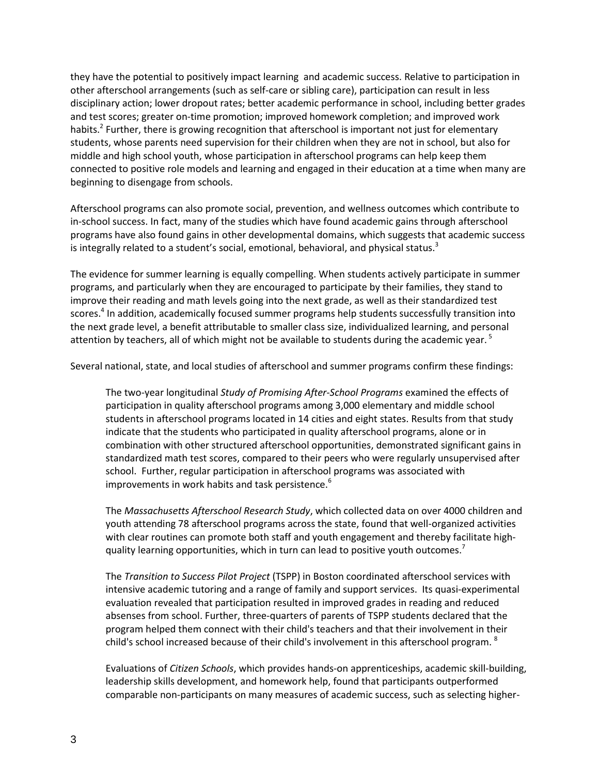they have the potential to positively impact learning and academic success. Relative to participation in other afterschool arrangements (such as self-care or sibling care), participation can result in less disciplinary action; lower dropout rates; better academic performance in school, including better grades and test scores; greater on-time promotion; improved homework completion; and improved work habits.<sup>2</sup> Further, there is growing recognition that afterschool is important not just for elementary students, whose parents need supervision for their children when they are not in school, but also for middle and high school youth, whose participation in afterschool programs can help keep them connected to positive role models and learning and engaged in their education at a time when many are beginning to disengage from schools.

Afterschool programs can also promote social, prevention, and wellness outcomes which contribute to in-school success. In fact, many of the studies which have found academic gains through afterschool programs have also found gains in other developmental domains, which suggests that academic success is integrally related to a student's social, emotional, behavioral, and physical status.<sup>3</sup>

The evidence for summer learning is equally compelling. When students actively participate in summer programs, and particularly when they are encouraged to participate by their families, they stand to improve their reading and math levels going into the next grade, as well as their standardized test scores.<sup>4</sup> In addition, academically focused summer programs help students successfully transition into the next grade level, a benefit attributable to smaller class size, individualized learning, and personal attention by teachers, all of which might not be available to students during the academic year.<sup>5</sup>

Several national, state, and local studies of afterschool and summer programs confirm these findings:

The two-year longitudinal *Study of Promising After-School Programs* examined the effects of participation in quality afterschool programs among 3,000 elementary and middle school students in afterschool programs located in 14 cities and eight states. Results from that study indicate that the students who participated in quality afterschool programs, alone or in combination with other structured afterschool opportunities, demonstrated significant gains in standardized math test scores, compared to their peers who were regularly unsupervised after school. Further, regular participation in afterschool programs was associated with improvements in work habits and task persistence.<sup>6</sup>

The *Massachusetts Afterschool Research Study*, which collected data on over 4000 children and youth attending 78 afterschool programs across the state, found that well-organized activities with clear routines can promote both staff and youth engagement and thereby facilitate highquality learning opportunities, which in turn can lead to positive youth outcomes.<sup>7</sup>

The *Transition to Success Pilot Project* (TSPP) in Boston coordinated afterschool services with intensive academic tutoring and a range of family and support services. Its quasi-experimental evaluation revealed that participation resulted in improved grades in reading and reduced absenses from school. Further, three-quarters of parents of TSPP students declared that the program helped them connect with their child's teachers and that their involvement in their child's school increased because of their child's involvement in this afterschool program. <sup>8</sup>

Evaluations of *Citizen Schools*, which provides hands-on apprenticeships, academic skill-building, leadership skills development, and homework help, found that participants outperformed comparable non-participants on many measures of academic success, such as selecting higher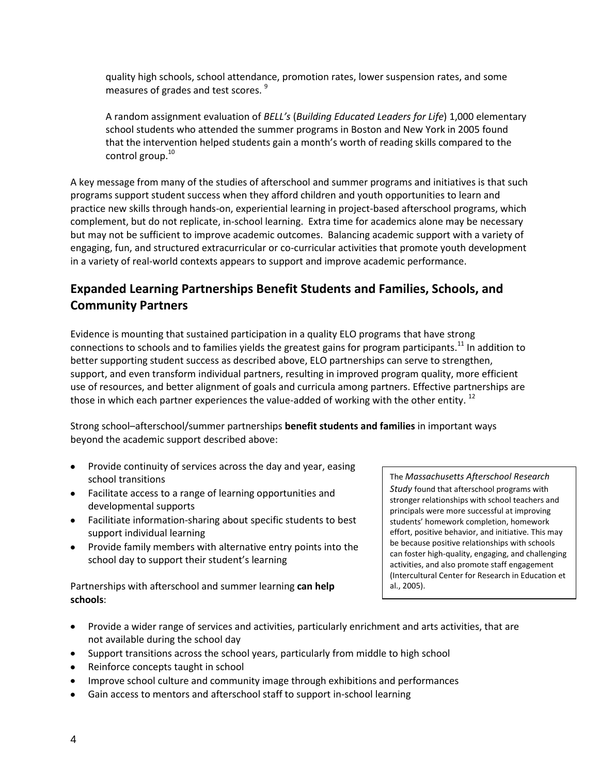quality high schools, school attendance, promotion rates, lower suspension rates, and some measures of grades and test scores.<sup>9</sup>

A random assignment evaluation of *BELL's* (*Building Educated Leaders for Life*) 1,000 elementary school students who attended the summer programs in Boston and New York in 2005 found that the intervention helped students gain a month's worth of reading skills compared to the control group. 10

A key message from many of the studies of afterschool and summer programs and initiatives is that such programs support student success when they afford children and youth opportunities to learn and practice new skills through hands-on, experiential learning in project-based afterschool programs, which complement, but do not replicate, in-school learning. Extra time for academics alone may be necessary but may not be sufficient to improve academic outcomes. Balancing academic support with a variety of engaging, fun, and structured extracurricular or co-curricular activities that promote youth development in a variety of real-world contexts appears to support and improve academic performance.

# **Expanded Learning Partnerships Benefit Students and Families, Schools, and Community Partners**

Evidence is mounting that sustained participation in a quality ELO programs that have strong connections to schools and to families yields the greatest gains for program participants.<sup>11</sup> In addition to better supporting student success as described above, ELO partnerships can serve to strengthen, support, and even transform individual partners, resulting in improved program quality, more efficient use of resources, and better alignment of goals and curricula among partners. Effective partnerships are those in which each partner experiences the value-added of working with the other entity.  $^{12}$ 

Strong school–afterschool/summer partnerships **benefit students and families** in important ways beyond the academic support described above:

- Provide continuity of services across the day and year, easing school transitions
- Facilitate access to a range of learning opportunities and developmental supports
- Facilitiate information-sharing about specific students to best support individual learning
- Provide family members with alternative entry points into the school day to support their student's learning

Partnerships with afterschool and summer learning **can help schools**:

The *Massachusetts Afterschool Research Study* found that afterschool programs with stronger relationships with school teachers and principals were more successful at improving students' homework completion, homework effort, positive behavior, and initiative. This may be because positive relationships with schools can foster high-quality, engaging, and challenging activities, and also promote staff engagement (Intercultural Center for Research in Education et al., 2005).

- Provide a wider range of services and activities, particularly enrichment and arts activities, that are not available during the school day
- Support transitions across the school years, particularly from middle to high school
- Reinforce concepts taught in school
- Improve school culture and community image through exhibitions and performances
- Gain access to mentors and afterschool staff to support in-school learning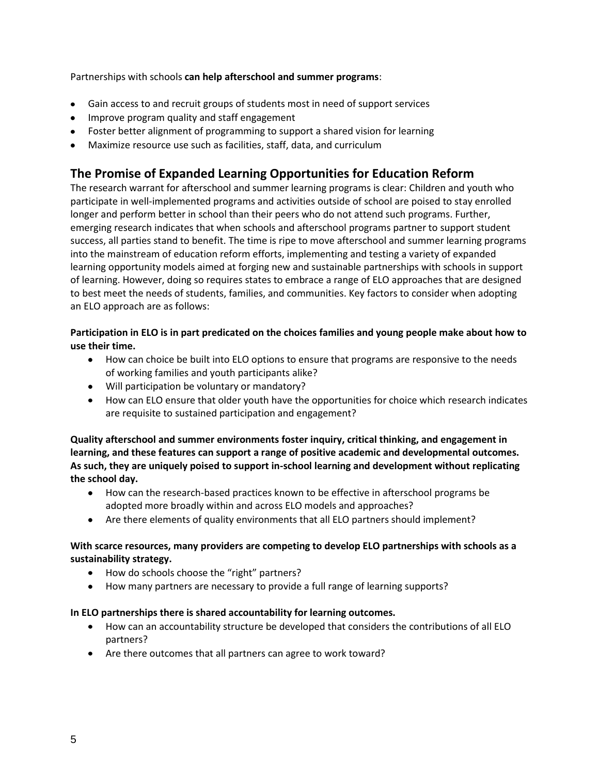Partnerships with schools **can help afterschool and summer programs**:

- Gain access to and recruit groups of students most in need of support services
- Improve program quality and staff engagement
- Foster better alignment of programming to support a shared vision for learning
- Maximize resource use such as facilities, staff, data, and curriculum

## **The Promise of Expanded Learning Opportunities for Education Reform**

The research warrant for afterschool and summer learning programs is clear: Children and youth who participate in well-implemented programs and activities outside of school are poised to stay enrolled longer and perform better in school than their peers who do not attend such programs. Further, emerging research indicates that when schools and afterschool programs partner to support student success, all parties stand to benefit. The time is ripe to move afterschool and summer learning programs into the mainstream of education reform efforts, implementing and testing a variety of expanded learning opportunity models aimed at forging new and sustainable partnerships with schools in support of learning. However, doing so requires states to embrace a range of ELO approaches that are designed to best meet the needs of students, families, and communities. Key factors to consider when adopting an ELO approach are as follows:

### **Participation in ELO is in part predicated on the choices families and young people make about how to use their time.**

- $\bullet$ How can choice be built into ELO options to ensure that programs are responsive to the needs of working families and youth participants alike?
- Will participation be voluntary or mandatory?
- How can ELO ensure that older youth have the opportunities for choice which research indicates are requisite to sustained participation and engagement?

**Quality afterschool and summer environments foster inquiry, critical thinking, and engagement in learning, and these features can support a range of positive academic and developmental outcomes. As such, they are uniquely poised to support in-school learning and development without replicating the school day.** 

- How can the research-based practices known to be effective in afterschool programs be  $\bullet$ adopted more broadly within and across ELO models and approaches?
- Are there elements of quality environments that all ELO partners should implement?

### **With scarce resources, many providers are competing to develop ELO partnerships with schools as a sustainability strategy.**

- How do schools choose the "right" partners?
- How many partners are necessary to provide a full range of learning supports?

### **In ELO partnerships there is shared accountability for learning outcomes.**

- How can an accountability structure be developed that considers the contributions of all ELO partners?
- Are there outcomes that all partners can agree to work toward?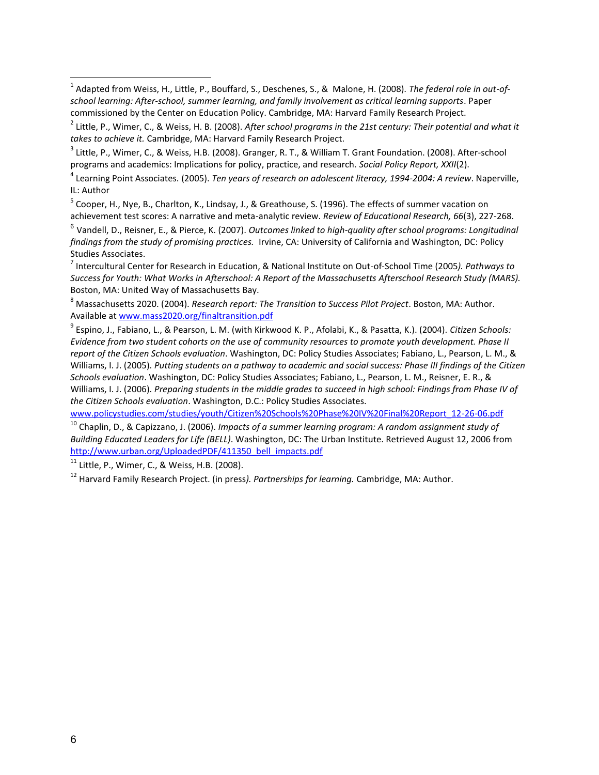<sup>5</sup> Cooper, H., Nye, B., Charlton, K., Lindsay, J., & Greathouse, S. (1996). The effects of summer vacation on achievement test scores: A narrative and meta-analytic review. *Review of Educational Research, 66*(3), 227-268.

6 Vandell, D., Reisner, E., & Pierce, K. (2007). *Outcomes linked to high-quality after school programs: Longitudinal findings from the study of promising practices.* Irvine, CA: University of California and Washington, DC: Policy Studies Associates.

7 Intercultural Center for Research in Education, & National Institute on Out-of-School Time (2005*). Pathways to Success for Youth: What Works in Afterschool: A Report of the Massachusetts Afterschool Research Study (MARS).* Boston, MA: United Way of Massachusetts Bay.

<sup>8</sup> Massachusetts 2020. (2004). *Research report: The Transition to Success Pilot Project*. Boston, MA: Author. Available a[t www.mass2020.org/finaltransition.pdf](http://www.mass2020.org/finaltransition.pdf)

9 Espino, J., Fabiano, L., & Pearson, L. M. (with Kirkwood K. P., Afolabi, K., & Pasatta, K.). (2004). *Citizen Schools: Evidence from two student cohorts on the use of community resources to promote youth development. Phase II report of the Citizen Schools evaluation*. Washington, DC: Policy Studies Associates; Fabiano, L., Pearson, L. M., & Williams, I. J. (2005). *Putting students on a pathway to academic and social success: Phase III findings of the Citizen Schools evaluation*. Washington, DC: Policy Studies Associates; Fabiano, L., Pearson, L. M., Reisner, E. R., & Williams, I. J. (2006). *Preparing students in the middle grades to succeed in high school: Findings from Phase IV of the Citizen Schools evaluation*. Washington, D.C.: Policy Studies Associates.

[www.policystudies.com/studies/youth/Citizen%20Schools%20Phase%20IV%20Final%20Report\\_12-26-06.pdf](http://www.policystudies.com/studies/youth/Citizen%20Schools%20Phase%20IV%20Final%20Report_12-26-06.pdf)

<sup>10</sup> Chaplin, D., & Capizzano, J. (2006). *Impacts of a summer learning program: A random assignment study of Building Educated Leaders for Life (BELL)*. Washington, DC: The Urban Institute. Retrieved August 12, 2006 from [http://www.urban.org/UploadedPDF/411350\\_bell\\_impacts.pdf](http://www.urban.org/UploadedPDF/411350_bell_impacts.pdf)

 $11$  Little, P., Wimer, C., & Weiss, H.B. (2008).

<sup>12</sup> Harvard Family Research Project. (in press*). Partnerships for learning.* Cambridge, MA: Author.

<sup>1</sup> Adapted from Weiss, H., Little, P., Bouffard, S., Deschenes, S., & Malone, H. (2008). *The federal role in out-ofschool learning: After-school, summer learning, and family involvement as critical learning supports*. Paper commissioned by the Center on Education Policy. Cambridge, MA: Harvard Family Research Project.

<sup>2</sup> Little, P., Wimer, C., & Weiss, H. B. (2008). *After school programs in the 21st century: Their potential and what it takes to achieve it.* Cambridge, MA: Harvard Family Research Project.

<sup>&</sup>lt;sup>3</sup> Little, P., Wimer, C., & Weiss, H.B. (2008). Granger, R. T., & William T. Grant Foundation. (2008). After-school programs and academics: Implications for policy, practice, and research. *Social Policy Report, XXII*(2).

<sup>4</sup> Learning Point Associates. (2005). *Ten years of research on adolescent literacy, 1994-2004: A review*. Naperville, IL: Author